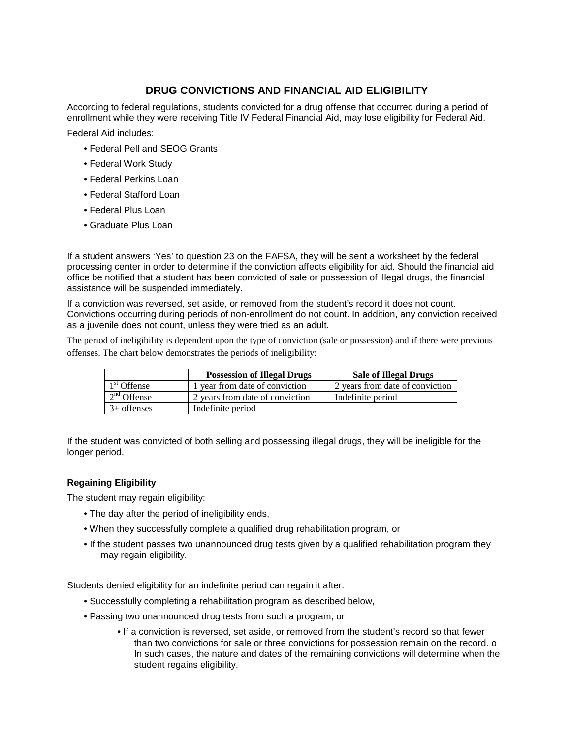## **DRUG CONVICTIONS AND FINANCIAL AID ELIGIBILITY**

According to federal regulations, students convicted for a drug offense that occurred during a period of enrollment while they were receiving Title IV Federal Financial Aid, may lose eligibility for Federal Aid.

Federal Aid includes:

- Federal Pell and SEOG Grants
- Federal Work Study
- Federal Perkins Loan
- Federal Stafford Loan
- Federal Plus Loan
- Graduate Plus Loan

If a student answers 'Yes' to question 23 on the FAFSA, they will be sent a worksheet by the federal processing center in order to determine if the conviction affects eligibility for aid. Should the financial aid office be notified that a student has been convicted of sale or possession of illegal drugs, the financial assistance will be suspended immediately.

If a conviction was reversed, set aside, or removed from the student's record it does not count. Convictions occurring during periods of non-enrollment do not count. In addition, any conviction received as a juvenile does not count, unless they were tried as an adult.

The period of ineligibility is dependent upon the type of conviction (sale or possession) and if there were previous offenses. The chart below demonstrates the periods of ineligibility:

|                         | <b>Possession of Illegal Drugs</b> | <b>Sale of Illegal Drugs</b>    |
|-------------------------|------------------------------------|---------------------------------|
| 1 <sup>st</sup> Offense | 1 year from date of conviction     | 2 years from date of conviction |
| $2nd$ Offense           | 2 years from date of conviction    | Indefinite period               |
| $3+$ offenses           | Indefinite period                  |                                 |

If the student was convicted of both selling and possessing illegal drugs, they will be ineligible for the longer period.

## **Regaining Eligibility**

The student may regain eligibility:

- The day after the period of ineligibility ends,
- When they successfully complete a qualified drug rehabilitation program, or
- If the student passes two unannounced drug tests given by a qualified rehabilitation program they may regain eligibility.

Students denied eligibility for an indefinite period can regain it after:

- Successfully completing a rehabilitation program as described below,
- Passing two unannounced drug tests from such a program, or
	- If a conviction is reversed, set aside, or removed from the student's record so that fewer than two convictions for sale or three convictions for possession remain on the record. o In such cases, the nature and dates of the remaining convictions will determine when the student regains eligibility.